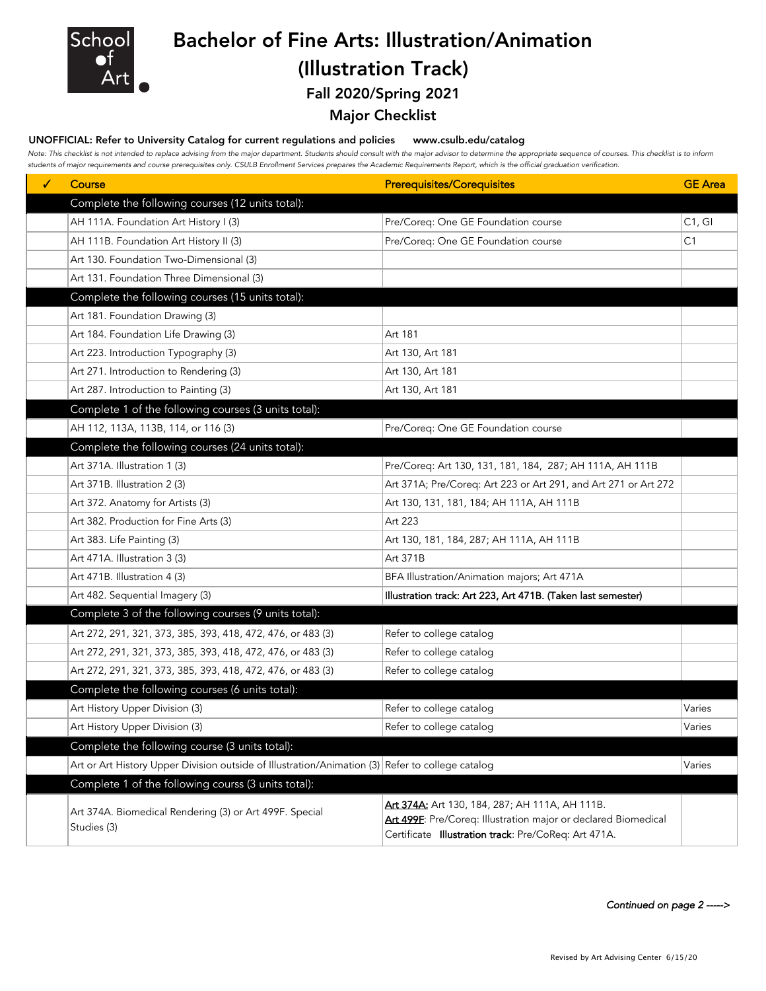

## Bachelor of Fine Arts: Illustration/Animation (Illustration Track)

### Fall 2020/Spring 2021

### Major Checklist

#### UNOFFICIAL: Refer to University Catalog for current regulations and policies www.csulb.edu/catalog

*Note: This checklist is not intended to replace advising from the major department. Students should consult with the major advisor to determine the appropriate sequence of courses. This checklist is to inform students of major requirements and course prerequisites only. CSULB Enrollment Services prepares the Academic Requirements Report, which is the official graduation verification.*

| ✓ | Course                                                                                           | <b>Prerequisites/Corequisites</b>                                                                                                                                        | <b>GE</b> Area |
|---|--------------------------------------------------------------------------------------------------|--------------------------------------------------------------------------------------------------------------------------------------------------------------------------|----------------|
|   | Complete the following courses (12 units total):                                                 |                                                                                                                                                                          |                |
|   | AH 111A. Foundation Art History I (3)                                                            | Pre/Coreq: One GE Foundation course                                                                                                                                      | C1, G1         |
|   | AH 111B. Foundation Art History II (3)                                                           | Pre/Coreq: One GE Foundation course                                                                                                                                      | C1             |
|   | Art 130. Foundation Two-Dimensional (3)                                                          |                                                                                                                                                                          |                |
|   | Art 131. Foundation Three Dimensional (3)                                                        |                                                                                                                                                                          |                |
|   | Complete the following courses (15 units total):                                                 |                                                                                                                                                                          |                |
|   | Art 181. Foundation Drawing (3)                                                                  |                                                                                                                                                                          |                |
|   | Art 184. Foundation Life Drawing (3)                                                             | Art 181                                                                                                                                                                  |                |
|   | Art 223. Introduction Typography (3)                                                             | Art 130, Art 181                                                                                                                                                         |                |
|   | Art 271. Introduction to Rendering (3)                                                           | Art 130, Art 181                                                                                                                                                         |                |
|   | Art 287. Introduction to Painting (3)                                                            | Art 130, Art 181                                                                                                                                                         |                |
|   | Complete 1 of the following courses (3 units total):                                             |                                                                                                                                                                          |                |
|   | AH 112, 113A, 113B, 114, or 116 (3)                                                              | Pre/Coreq: One GE Foundation course                                                                                                                                      |                |
|   | Complete the following courses (24 units total):                                                 |                                                                                                                                                                          |                |
|   | Art 371A. Illustration 1 (3)                                                                     | Pre/Coreq: Art 130, 131, 181, 184, 287; AH 111A, AH 111B                                                                                                                 |                |
|   | Art 371B. Illustration 2 (3)                                                                     | Art 371A; Pre/Coreq: Art 223 or Art 291, and Art 271 or Art 272                                                                                                          |                |
|   | Art 372. Anatomy for Artists (3)                                                                 | Art 130, 131, 181, 184; AH 111A, AH 111B                                                                                                                                 |                |
|   | Art 382. Production for Fine Arts (3)                                                            | Art 223                                                                                                                                                                  |                |
|   | Art 383. Life Painting (3)                                                                       | Art 130, 181, 184, 287; AH 111A, AH 111B                                                                                                                                 |                |
|   | Art 471A. Illustration 3 (3)                                                                     | Art 371B                                                                                                                                                                 |                |
|   | Art 471B. Illustration 4 (3)                                                                     | BFA Illustration/Animation majors; Art 471A                                                                                                                              |                |
|   | Art 482. Sequential Imagery (3)                                                                  | Illustration track: Art 223, Art 471B. (Taken last semester)                                                                                                             |                |
|   | Complete 3 of the following courses (9 units total):                                             |                                                                                                                                                                          |                |
|   | Art 272, 291, 321, 373, 385, 393, 418, 472, 476, or 483 (3)                                      | Refer to college catalog                                                                                                                                                 |                |
|   | Art 272, 291, 321, 373, 385, 393, 418, 472, 476, or 483 (3)                                      | Refer to college catalog                                                                                                                                                 |                |
|   | Art 272, 291, 321, 373, 385, 393, 418, 472, 476, or 483 (3)                                      | Refer to college catalog                                                                                                                                                 |                |
|   | Complete the following courses (6 units total):                                                  |                                                                                                                                                                          |                |
|   | Art History Upper Division (3)                                                                   | Refer to college catalog                                                                                                                                                 | Varies         |
|   | Art History Upper Division (3)                                                                   | Refer to college catalog                                                                                                                                                 | Varies         |
|   | Complete the following course (3 units total):                                                   |                                                                                                                                                                          |                |
|   | Art or Art History Upper Division outside of Illustration/Animation (3) Refer to college catalog |                                                                                                                                                                          | Varies         |
|   | Complete 1 of the following courss (3 units total):                                              |                                                                                                                                                                          |                |
|   | Art 374A. Biomedical Rendering (3) or Art 499F. Special<br>Studies (3)                           | Art 374A: Art 130, 184, 287; AH 111A, AH 111B.<br>Art 499F: Pre/Coreq: Illustration major or declared Biomedical<br>Certificate Illustration track: Pre/CoReq: Art 471A. |                |

*Continued on page 2 ----->*